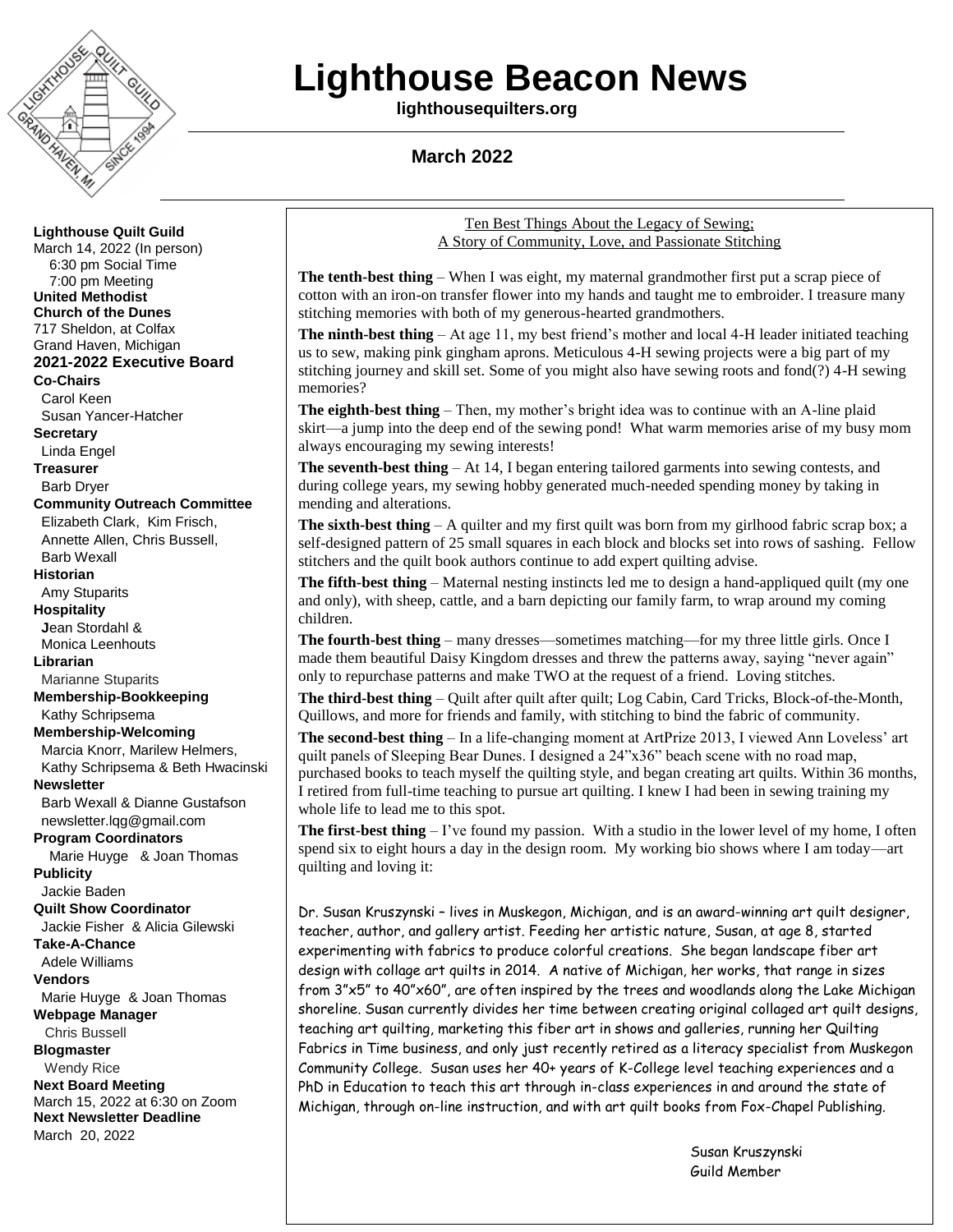

# **Lighthouse Beacon News**

**lighthousequilters.org**

 **March 2022**

**Lighthouse Quilt Guild** March 14, 2022 (In person) 6:30 pm Social Time 7:00 pm Meeting **United Methodist Church of the Dunes** 717 Sheldon, at Colfax Grand Haven, Michigan **2021-2022 Executive Board Co-Chairs** Carol Keen Susan Yancer-Hatcher **Secretary** Linda Engel **Treasurer** Barb Dryer **Community Outreach Committee** Elizabeth Clark, Kim Frisch, Annette Allen, Chris Bussell, Barb Wexall **Historian** Amy Stuparits **Hospitality J**ean Stordahl & Monica Leenhouts **Librarian** Marianne Stuparits **Membership-Bookkeeping** Kathy Schripsema **Membership-Welcoming** Marcia Knorr, Marilew Helmers, Kathy Schripsema & Beth Hwacinski **Newsletter**  Barb Wexall & Dianne Gustafson newsletter.lqg@gmail.com **Program Coordinators** Marie Huyge & Joan Thomas **Publicity** Jackie Baden **Quilt Show Coordinator** Jackie Fisher & Alicia Gilewski **Take-A-Chance** Adele Williams **Vendors** Marie Huyge & Joan Thomas **Webpage Manager** Chris Bussell **Blogmaster** Wendy Rice **Next Board Meeting** March 15, 2022 at 6:30 on Zoom **Next Newsletter Deadline** March 20, 2022

Ten Best Things About the Legacy of Sewing; A Story of Community, Love, and Passionate Stitching

**The tenth-best thing** – When I was eight, my maternal grandmother first put a scrap piece of cotton with an iron-on transfer flower into my hands and taught me to embroider. I treasure many stitching memories with both of my generous-hearted grandmothers.

**The ninth-best thing** – At age 11, my best friend's mother and local 4-H leader initiated teaching us to sew, making pink gingham aprons. Meticulous 4-H sewing projects were a big part of my stitching journey and skill set. Some of you might also have sewing roots and fond(?) 4-H sewing memories?

**The eighth-best thing** – Then, my mother's bright idea was to continue with an A-line plaid skirt—a jump into the deep end of the sewing pond! What warm memories arise of my busy mom always encouraging my sewing interests!

**The seventh-best thing** – At 14, I began entering tailored garments into sewing contests, and during college years, my sewing hobby generated much-needed spending money by taking in mending and alterations.

**The sixth-best thing** – A quilter and my first quilt was born from my girlhood fabric scrap box; a self-designed pattern of 25 small squares in each block and blocks set into rows of sashing. Fellow stitchers and the quilt book authors continue to add expert quilting advise.

**The fifth-best thing** – Maternal nesting instincts led me to design a hand-appliqued quilt (my one and only), with sheep, cattle, and a barn depicting our family farm, to wrap around my coming children.

**The fourth-best thing** – many dresses—sometimes matching—for my three little girls. Once I made them beautiful Daisy Kingdom dresses and threw the patterns away, saying "never again" only to repurchase patterns and make TWO at the request of a friend. Loving stitches.

**The third-best thing** – Quilt after quilt after quilt; Log Cabin, Card Tricks, Block-of-the-Month, Quillows, and more for friends and family, with stitching to bind the fabric of community.

**The second-best thing** – In a life-changing moment at ArtPrize 2013, I viewed Ann Loveless' art quilt panels of Sleeping Bear Dunes. I designed a  $24$ " $x36$ " beach scene with no road map, purchased books to teach myself the quilting style, and began creating art quilts. Within 36 months, I retired from full-time teaching to pursue art quilting. I knew I had been in sewing training my whole life to lead me to this spot.

**The first-best thing**  $-1$ 've found my passion. With a studio in the lower level of my home, I often spend six to eight hours a day in the design room. My working bio shows where I am today—art quilting and loving it:

Dr. Susan Kruszynski – lives in Muskegon, Michigan, and is an award-winning art quilt designer, teacher, author, and gallery artist. Feeding her artistic nature, Susan, at age 8, started experimenting with fabrics to produce colorful creations. She began landscape fiber art design with collage art quilts in 2014. A native of Michigan, her works, that range in sizes from 3"x5" to 40"x60", are often inspired by the trees and woodlands along the Lake Michigan shoreline. Susan currently divides her time between creating original collaged art quilt designs, teaching art quilting, marketing this fiber art in shows and galleries, running her Quilting Fabrics in Time business, and only just recently retired as a literacy specialist from Muskegon Community College. Susan uses her 40+ years of K-College level teaching experiences and a PhD in Education to teach this art through in-class experiences in and around the state of Michigan, through on-line instruction, and with art quilt books from Fox-Chapel Publishing.

> Susan Kruszynski Guild Member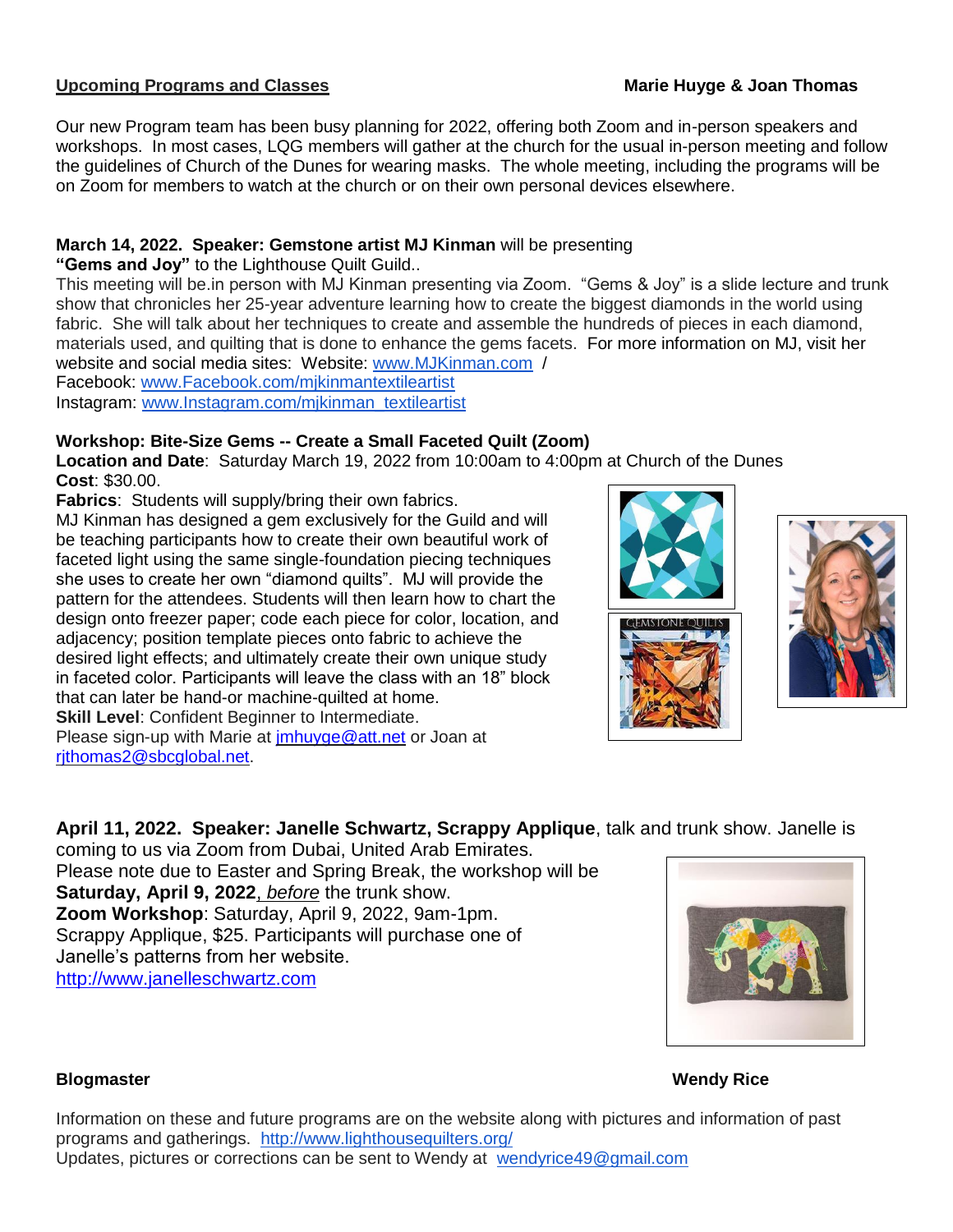# **Upcoming Programs and Classes Marie Huyge & Joan Thomas**

Our new Program team has been busy planning for 2022, offering both Zoom and in-person speakers and workshops. In most cases, LQG members will gather at the church for the usual in-person meeting and follow the guidelines of Church of the Dunes for wearing masks. The whole meeting, including the programs will be on Zoom for members to watch at the church or on their own personal devices elsewhere.

# **March 14, 2022. Speaker: Gemstone artist MJ Kinman** will be presenting

**"Gems and Joy"** to the Lighthouse Quilt Guild..

This meeting will be.in person with MJ Kinman presenting via Zoom. "Gems & Joy" is a slide lecture and trunk show that chronicles her 25-year adventure learning how to create the biggest diamonds in the world using fabric. She will talk about her techniques to create and assemble the hundreds of pieces in each diamond, materials used, and quilting that is done to enhance the gems facets. For more information on MJ, visit her website and social media sites: Website: [www.MJKinman.com](http://www.mjkinman.com/) /

Facebook: [www.Facebook.com/mjkinmantextileartist](http://www.facebook.com/mjkinmantextileartist)

Instagram: [www.Instagram.com/mjkinman\\_textileartist](http://www.instagram.com/mjkinman_textileartist)

# **Workshop: Bite-Size Gems -- Create a Small Faceted Quilt (Zoom)**

**Location and Date**: Saturday March 19, 2022 from 10:00am to 4:00pm at Church of the Dunes **Cost**: \$30.00.

**Fabrics**: Students will supply/bring their own fabrics.

MJ Kinman has designed a gem exclusively for the Guild and will be teaching participants how to create their own beautiful work of faceted light using the same single-foundation piecing techniques she uses to create her own "diamond quilts". MJ will provide the pattern for the attendees. Students will then learn how to chart the design onto freezer paper; code each piece for color, location, and adjacency; position template pieces onto fabric to achieve the desired light effects; and ultimately create their own unique study in faceted color. Participants will leave the class with an 18" block that can later be hand-or machine-quilted at home. **Skill Level: Confident Beginner to Intermediate.** Please sign-up with Marie at [jmhuyge@att.net](mailto:jmhuyge@att.net) or Joan at [rjthomas2@sbcglobal.net.](mailto:rjthomas2@sbcglobal.net)





# **April 11, 2022. Speaker: Janelle Schwartz, Scrappy Applique**, talk and trunk show. Janelle is

coming to us via Zoom from Dubai, United Arab Emirates. Please note due to Easter and Spring Break, the workshop will be **Saturday, April 9, 2022**, *before* the trunk show. **Zoom Workshop**: Saturday, April 9, 2022, 9am-1pm. Scrappy Applique, \$25. Participants will purchase one of Janelle's patterns from her website. [http://www.janelleschwartz.com](http://www.janelleschwartz.com/)



# **Blogmaster Wendy Rice**

Information on these and future programs are on the website along with pictures and information of past programs and gatherings. <http://www.lighthousequilters.org/> Updates, pictures or corrections can be sent to Wendy at [wendyrice49@gmail.com](mailto:wendyrice49@gmail.com)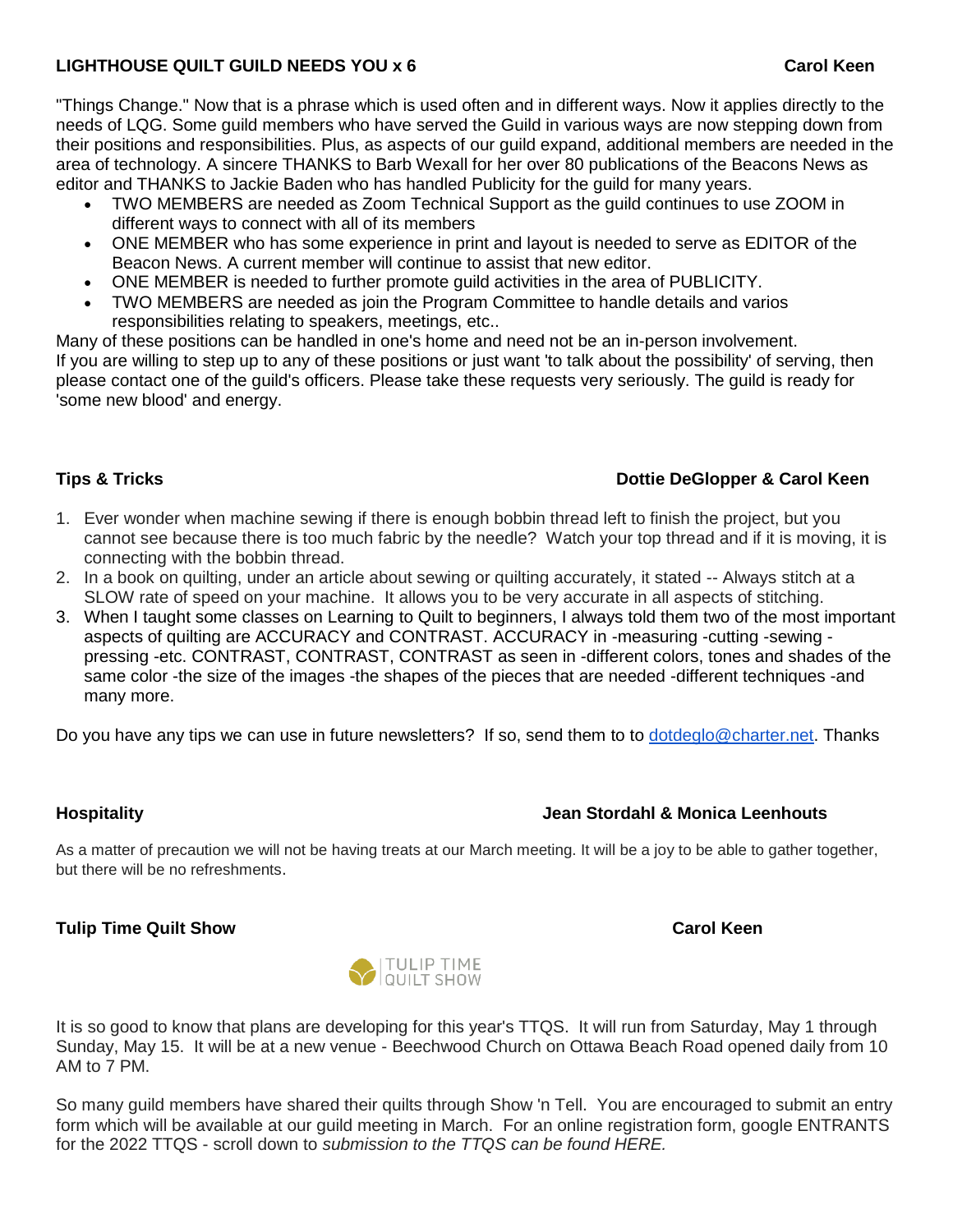# **LIGHTHOUSE QUILT GUILD NEEDS YOU x 6 Carol Keen**

"Things Change." Now that is a phrase which is used often and in different ways. Now it applies directly to the needs of LQG. Some guild members who have served the Guild in various ways are now stepping down from their positions and responsibilities. Plus, as aspects of our guild expand, additional members are needed in the area of technology. A sincere THANKS to Barb Wexall for her over 80 publications of the Beacons News as editor and THANKS to Jackie Baden who has handled Publicity for the guild for many years.

- TWO MEMBERS are needed as Zoom Technical Support as the guild continues to use ZOOM in different ways to connect with all of its members
- ONE MEMBER who has some experience in print and layout is needed to serve as EDITOR of the Beacon News. A current member will continue to assist that new editor.
- ONE MEMBER is needed to further promote guild activities in the area of PUBLICITY.
- TWO MEMBERS are needed as join the Program Committee to handle details and varios responsibilities relating to speakers, meetings, etc..

Many of these positions can be handled in one's home and need not be an in-person involvement. If you are willing to step up to any of these positions or just want 'to talk about the possibility' of serving, then please contact one of the guild's officers. Please take these requests very seriously. The guild is ready for 'some new blood' and energy.

# **Tips & Tricks Dottie DeGlopper & Carol Keen**

- 1. Ever wonder when machine sewing if there is enough bobbin thread left to finish the project, but you cannot see because there is too much fabric by the needle? Watch your top thread and if it is moving, it is connecting with the bobbin thread.
- 2. In a book on quilting, under an article about sewing or quilting accurately, it stated -- Always stitch at a SLOW rate of speed on your machine. It allows you to be very accurate in all aspects of stitching.
- 3. When I taught some classes on Learning to Quilt to beginners, I always told them two of the most important aspects of quilting are ACCURACY and CONTRAST. ACCURACY in -measuring -cutting -sewing pressing -etc. CONTRAST, CONTRAST, CONTRAST as seen in -different colors, tones and shades of the same color -the size of the images -the shapes of the pieces that are needed -different techniques -and many more.

Do you have any tips we can use in future newsletters? If so, send them to to [dotdeglo@charter.net.](mailto:dotdeglo@charter.net) Thanks

# **Hospitality Hospitality Hospitality Hospitality Jean Stordahl & Monica Leenhouts**

As a matter of precaution we will not be having treats at our March meeting. It will be a joy to be able to gather together, but there will be no refreshments.

# **Tulip Time Quilt Show Carol Keen**



It is so good to know that plans are developing for this year's TTQS. It will run from Saturday, May 1 through Sunday, May 15. It will be at a new venue - Beechwood Church on Ottawa Beach Road opened daily from 10 AM to 7 PM.

So many guild members have shared their quilts through Show 'n Tell. You are encouraged to submit an entry form which will be available at our guild meeting in March. For an online registration form, google ENTRANTS for the 2022 TTQS - scroll down to *submission to the TTQS can be found HERE.*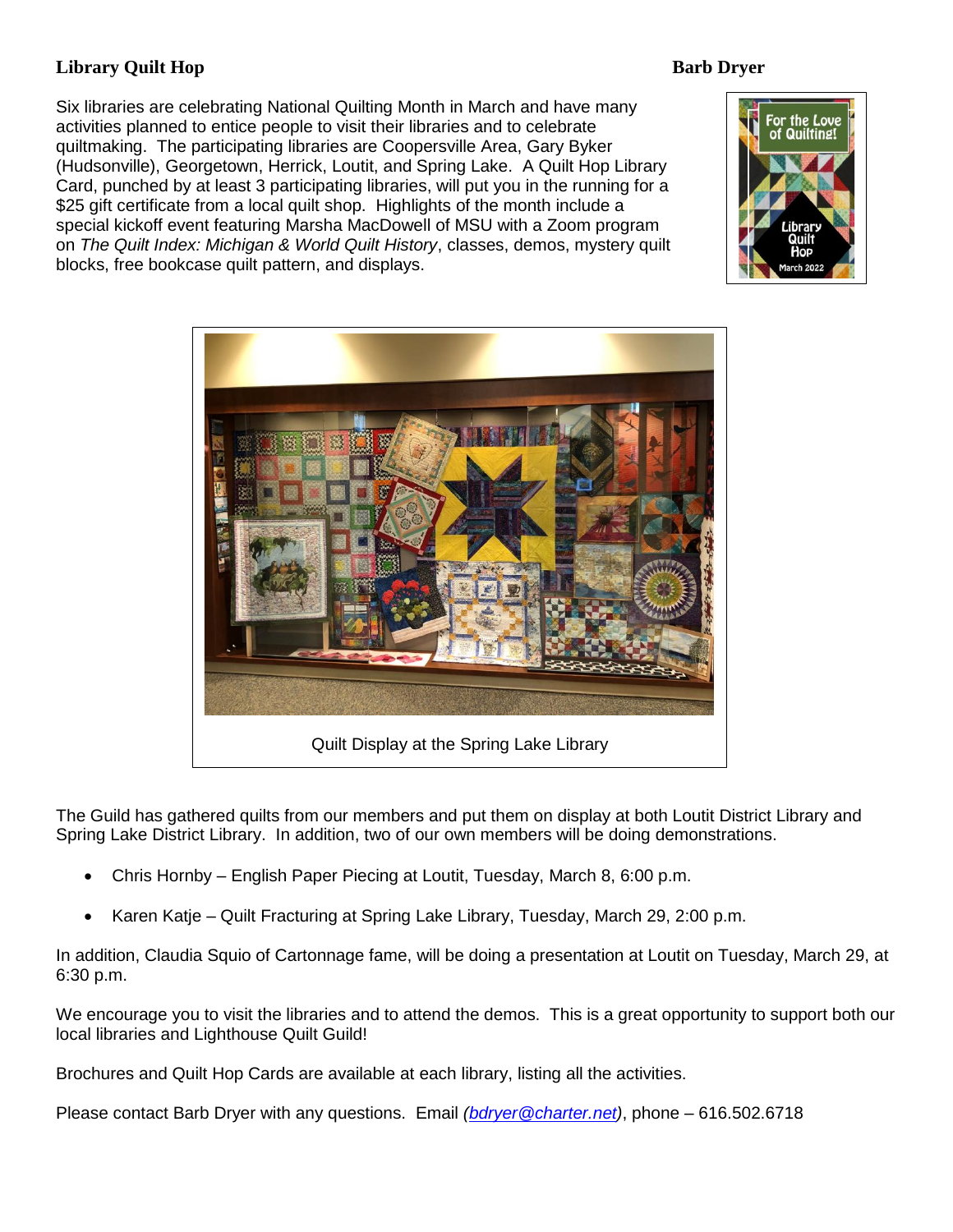# **Library Quilt Hop Barb Dryer**

Six libraries are celebrating National Quilting Month in March and have many activities planned to entice people to visit their libraries and to celebrate quiltmaking. The participating libraries are Coopersville Area, Gary Byker (Hudsonville), Georgetown, Herrick, Loutit, and Spring Lake. A Quilt Hop Library Card, punched by at least 3 participating libraries, will put you in the running for a \$25 gift certificate from a local quilt shop. Highlights of the month include a special kickoff event featuring Marsha MacDowell of MSU with a Zoom program on *The Quilt Index: Michigan & World Quilt History*, classes, demos, mystery quilt blocks, free bookcase quilt pattern, and displays.





The Guild has gathered quilts from our members and put them on display at both Loutit District Library and Spring Lake District Library. In addition, two of our own members will be doing demonstrations.

- Chris Hornby English Paper Piecing at Loutit, Tuesday, March 8, 6:00 p.m.
- Karen Katie Quilt Fracturing at Spring Lake Library, Tuesday, March 29, 2:00 p.m.

In addition, Claudia Squio of Cartonnage fame, will be doing a presentation at Loutit on Tuesday, March 29, at 6:30 p.m.

We encourage you to visit the libraries and to attend the demos. This is a great opportunity to support both our local libraries and Lighthouse Quilt Guild!

Brochures and Quilt Hop Cards are available at each library, listing all the activities.

Please contact Barb Dryer with any questions. Email *[\(bdryer@charter.net\)](mailto:bdryer@charter.net)*, phone – 616.502.6718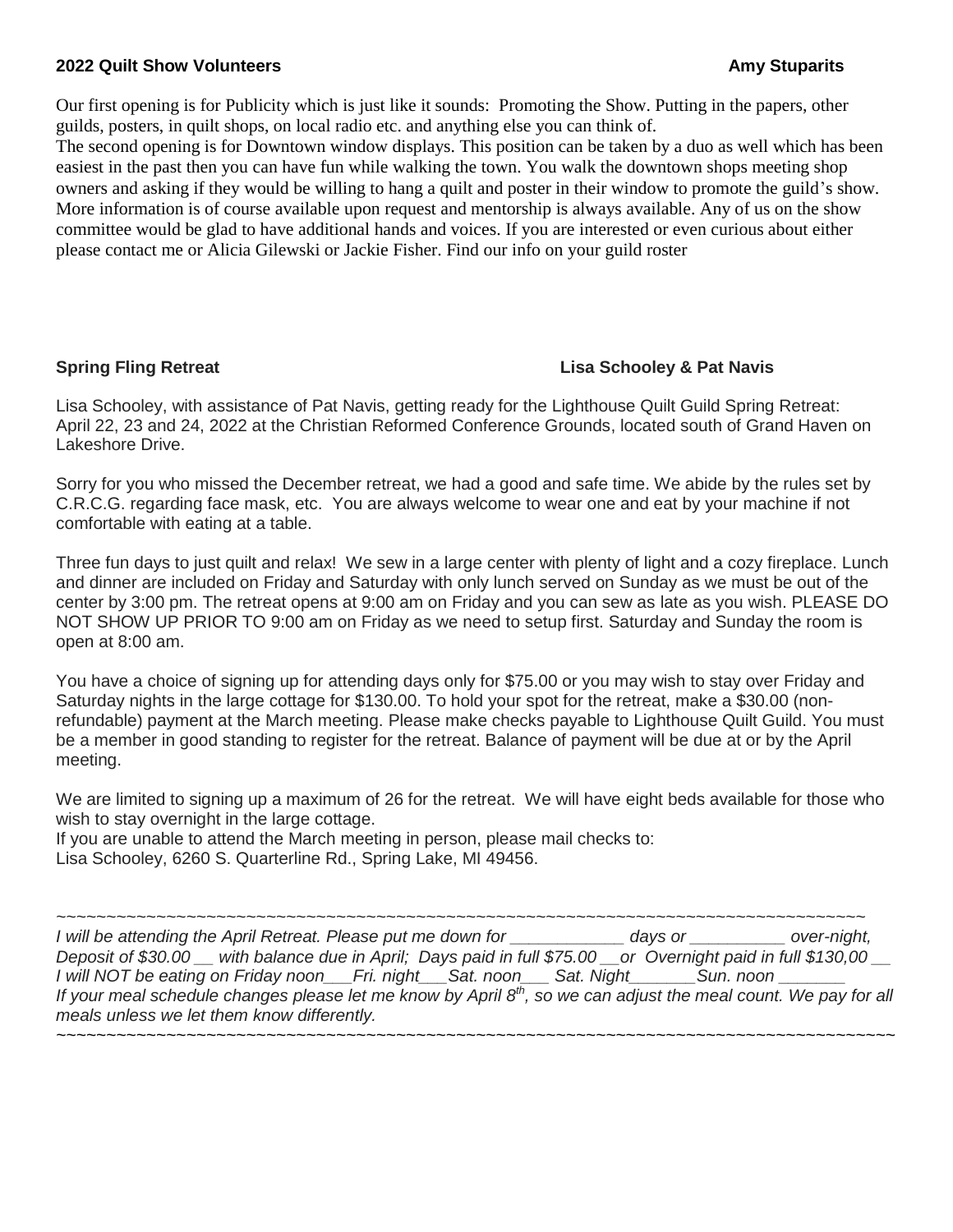### **2022 Quilt Show Volunteers Amy Stuparits**

Our first opening is for Publicity which is just like it sounds: Promoting the Show. Putting in the papers, other guilds, posters, in quilt shops, on local radio etc. and anything else you can think of.

The second opening is for Downtown window displays. This position can be taken by a duo as well which has been easiest in the past then you can have fun while walking the town. You walk the downtown shops meeting shop owners and asking if they would be willing to hang a quilt and poster in their window to promote the guild's show. More information is of course available upon request and mentorship is always available. Any of us on the show committee would be glad to have additional hands and voices. If you are interested or even curious about either please contact me or Alicia Gilewski or Jackie Fisher. Find our info on your guild roster

## **Spring Fling Retreat Lisa Schooley & Pat Navis**

Lisa Schooley, with assistance of Pat Navis, getting ready for the Lighthouse Quilt Guild Spring Retreat: April 22, 23 and 24, 2022 at the Christian Reformed Conference Grounds, located south of Grand Haven on Lakeshore Drive.

Sorry for you who missed the December retreat, we had a good and safe time. We abide by the rules set by C.R.C.G. regarding face mask, etc. You are always welcome to wear one and eat by your machine if not comfortable with eating at a table.

Three fun days to just quilt and relax! We sew in a large center with plenty of light and a cozy fireplace. Lunch and dinner are included on Friday and Saturday with only lunch served on Sunday as we must be out of the center by 3:00 pm. The retreat opens at 9:00 am on Friday and you can sew as late as you wish. PLEASE DO NOT SHOW UP PRIOR TO 9:00 am on Friday as we need to setup first. Saturday and Sunday the room is open at 8:00 am.

You have a choice of signing up for attending days only for \$75.00 or you may wish to stay over Friday and Saturday nights in the large cottage for \$130.00. To hold your spot for the retreat, make a \$30.00 (nonrefundable) payment at the March meeting. Please make checks payable to Lighthouse Quilt Guild. You must be a member in good standing to register for the retreat. Balance of payment will be due at or by the April meeting.

We are limited to signing up a maximum of 26 for the retreat. We will have eight beds available for those who wish to stay overnight in the large cottage.

If you are unable to attend the March meeting in person, please mail checks to: Lisa Schooley, 6260 S. Quarterline Rd., Spring Lake, MI 49456.

*~~~~~~~~~~~~~~~~~~~~~~~~~~~~~~~~~~~~~~~~~~~~~~~~~~~~~~~~~~~~~~~~~~~~~~~~~~~~~~~~~ I will be attending the April Retreat. Please put me down for \_\_\_\_\_\_\_\_\_\_\_\_ days or \_\_\_\_\_\_\_\_\_\_ over-night, Deposit of \$30.00 \_\_ with balance due in April; Days paid in full \$75.00 \_\_or Overnight paid in full \$130,00 \_\_ I will NOT be eating on Friday noon\_\_\_Fri. night\_\_\_Sat. noon\_\_\_ Sat. Night\_\_\_\_\_\_\_Sun. noon \_\_\_\_\_\_\_ If your meal schedule changes please let me know by April 8th, so we can adjust the meal count. We pay for all meals unless we let them know differently. ~~~~~~~~~~~~~~~~~~~~~~~~~~~~~~~~~~~~~~~~~~~~~~~~~~~~~~~~~~~~~~~~~~~~~~~~~~~~~~~~~~~~*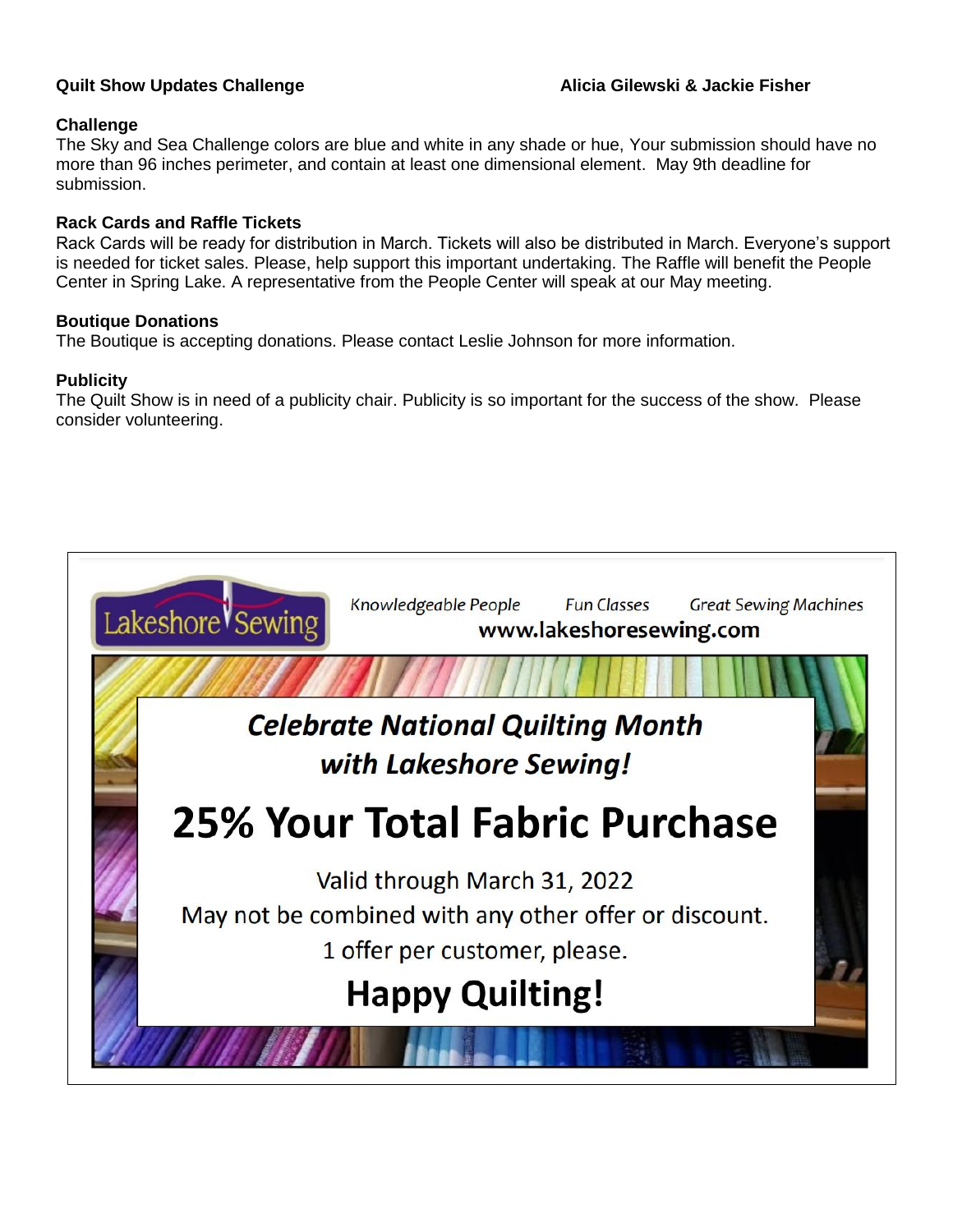# **Challenge**

The Sky and Sea Challenge colors are blue and white in any shade or hue, Your submission should have no more than 96 inches perimeter, and contain at least one dimensional element. May 9th deadline for submission.

# **Rack Cards and Raffle Tickets**

Rack Cards will be ready for distribution in March. Tickets will also be distributed in March. Everyone's support is needed for ticket sales. Please, help support this important undertaking. The Raffle will benefit the People Center in Spring Lake. A representative from the People Center will speak at our May meeting.

# **Boutique Donations**

The Boutique is accepting donations. Please contact Leslie Johnson for more information.

# **Publicity**

The Quilt Show is in need of a publicity chair. Publicity is so important for the success of the show. Please consider volunteering.

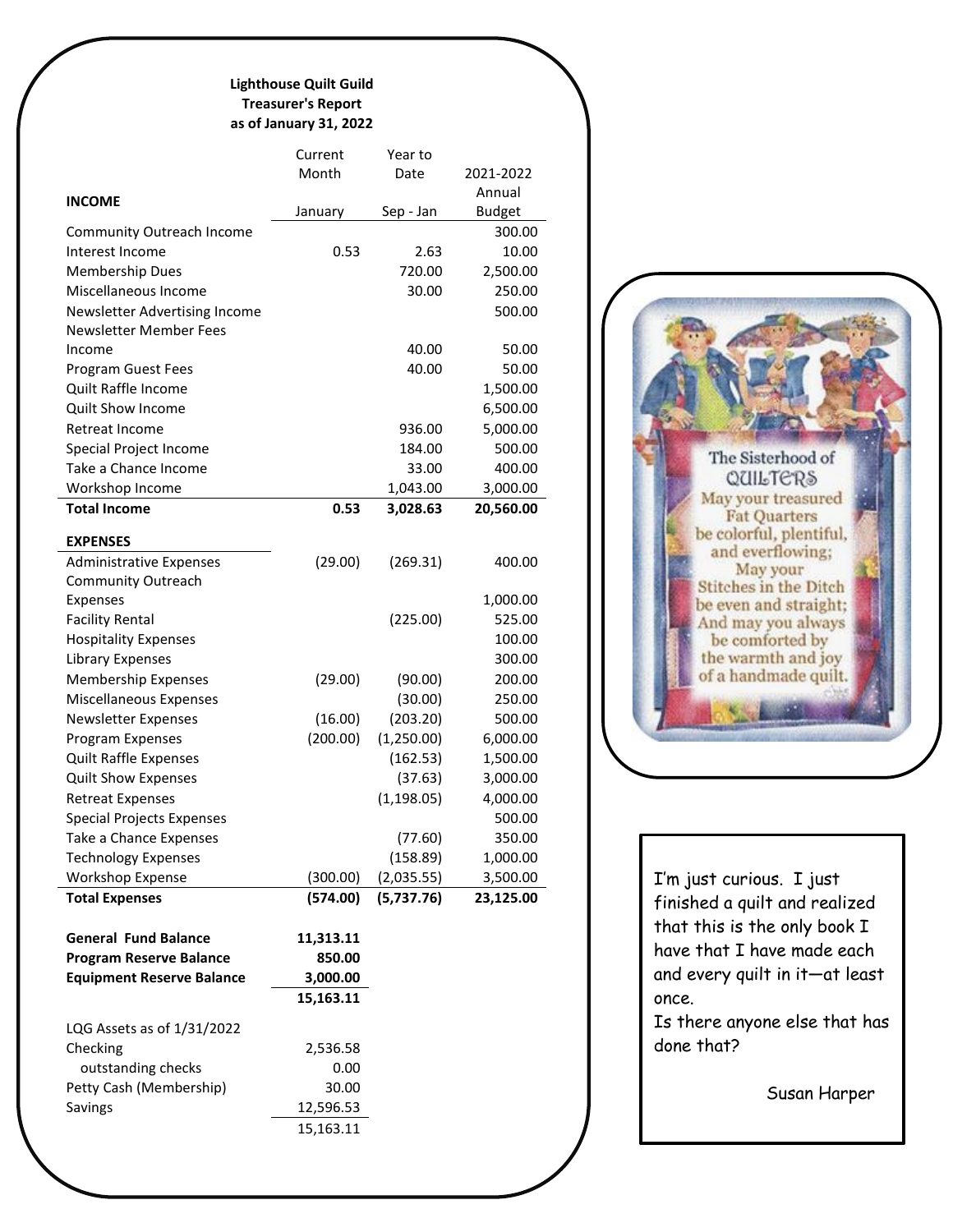### **Lighthouse Quilt Guild Treasurer's Report as of January 31, 2022**

|                                  | Current   | Year to     |               |
|----------------------------------|-----------|-------------|---------------|
|                                  | Month     | Date        | 2021-2022     |
| <b>INCOME</b>                    |           |             | Annual        |
|                                  | January   | Sep - Jan   | <b>Budget</b> |
| <b>Community Outreach Income</b> |           |             | 300.00        |
| Interest Income                  | 0.53      | 2.63        | 10.00         |
| <b>Membership Dues</b>           |           | 720.00      | 2,500.00      |
| Miscellaneous Income             |           | 30.00       | 250.00        |
| Newsletter Advertising Income    |           |             | 500.00        |
| Newsletter Member Fees           |           |             |               |
| Income                           |           | 40.00       | 50.00         |
| Program Guest Fees               |           | 40.00       | 50.00         |
| Quilt Raffle Income              |           |             | 1,500.00      |
| Quilt Show Income                |           |             | 6,500.00      |
| Retreat Income                   |           | 936.00      | 5,000.00      |
| Special Project Income           |           | 184.00      | 500.00        |
| Take a Chance Income             |           | 33.00       | 400.00        |
| Workshop Income                  |           | 1,043.00    | 3,000.00      |
| <b>Total Income</b>              | 0.53      | 3,028.63    | 20,560.00     |
|                                  |           |             |               |
| <b>EXPENSES</b>                  |           |             |               |
| <b>Administrative Expenses</b>   | (29.00)   | (269.31)    | 400.00        |
| <b>Community Outreach</b>        |           |             |               |
| Expenses                         |           |             | 1,000.00      |
| <b>Facility Rental</b>           |           | (225.00)    | 525.00        |
| <b>Hospitality Expenses</b>      |           |             | 100.00        |
| Library Expenses                 |           |             | 300.00        |
| <b>Membership Expenses</b>       | (29.00)   | (90.00)     | 200.00        |
| Miscellaneous Expenses           |           | (30.00)     | 250.00        |
| <b>Newsletter Expenses</b>       | (16.00)   | (203.20)    | 500.00        |
| Program Expenses                 | (200.00)  | (1,250.00)  | 6,000.00      |
| <b>Quilt Raffle Expenses</b>     |           | (162.53)    | 1,500.00      |
| <b>Quilt Show Expenses</b>       |           | (37.63)     | 3,000.00      |
| <b>Retreat Expenses</b>          |           | (1, 198.05) | 4,000.00      |
| <b>Special Projects Expenses</b> |           |             | 500.00        |
| Take a Chance Expenses           |           | (77.60)     | 350.00        |
| <b>Technology Expenses</b>       |           | (158.89)    | 1,000.00      |
| <b>Workshop Expense</b>          | (300.00)  | (2,035.55)  | 3,500.00      |
| <b>Total Expenses</b>            | (574.00)  | (5,737.76)  | 23,125.00     |
|                                  |           |             |               |
| <b>General Fund Balance</b>      | 11,313.11 |             |               |
| <b>Program Reserve Balance</b>   | 850.00    |             |               |
| <b>Equipment Reserve Balance</b> | 3,000.00  |             |               |
|                                  | 15,163.11 |             |               |
| LQG Assets as of 1/31/2022       |           |             |               |
| Checking                         | 2,536.58  |             |               |
| outstanding checks               | 0.00      |             |               |
| Petty Cash (Membership)          | 30.00     |             |               |
| Savings                          | 12,596.53 |             |               |
|                                  | 15,163.11 |             |               |
|                                  |           |             |               |



I'm just curious. I just finished a quilt and realized that this is the only book I have that I have made each and every quilt in it—at least once.

Is there anyone else that has done that?

Susan Harper